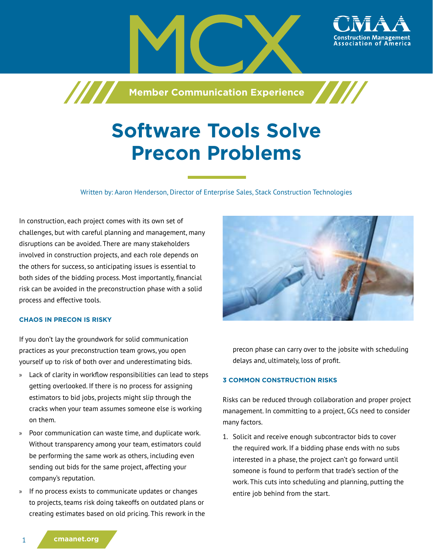

# **Software Tools Solve Precon Problems**

Written by: Aaron Henderson, Director of Enterprise Sales, Stack Construction Technologies

In construction, each project comes with its own set of challenges, but with careful planning and management, many disruptions can be avoided. There are many stakeholders involved in construction projects, and each role depends on the others for success, so anticipating issues is essential to both sides of the bidding process. Most importantly, financial risk can be avoided in the preconstruction phase with a solid process and effective tools.

### **CHAOS IN PRECON IS RISKY**

If you don't lay the groundwork for solid communication practices as your preconstruction team grows, you open yourself up to risk of both over and underestimating bids.

- » Lack of clarity in workflow responsibilities can lead to steps getting overlooked. If there is no process for assigning estimators to bid jobs, projects might slip through the cracks when your team assumes someone else is working on them.
- » Poor communication can waste time, and duplicate work. Without transparency among your team, estimators could be performing the same work as others, including even sending out bids for the same project, affecting your company's reputation.
- » If no process exists to communicate updates or changes to projects, teams risk doing takeoffs on outdated plans or creating estimates based on old pricing. This rework in the



precon phase can carry over to the jobsite with scheduling delays and, ultimately, loss of profit.

## **3 COMMON CONSTRUCTION RISKS**

Risks can be reduced through collaboration and proper project management. In committing to a project, GCs need to consider many factors.

1. Solicit and receive enough subcontractor bids to cover the required work. If a bidding phase ends with no subs interested in a phase, the project can't go forward until someone is found to perform that trade's section of the work. This cuts into scheduling and planning, putting the entire job behind from the start.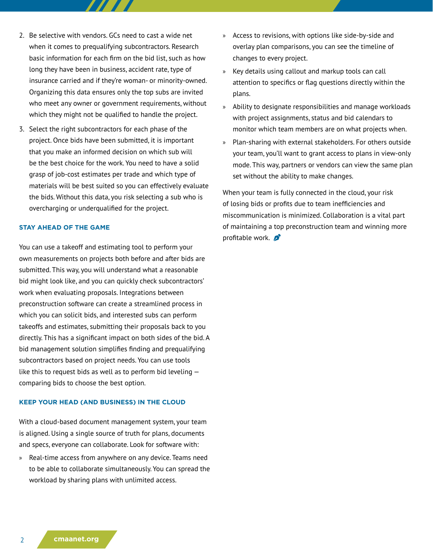- 2. Be selective with vendors. GCs need to cast a wide net when it comes to prequalifying subcontractors. Research basic information for each firm on the bid list, such as how long they have been in business, accident rate, type of insurance carried and if they're woman- or minority-owned. Organizing this data ensures only the top subs are invited who meet any owner or government requirements, without which they might not be qualified to handle the project.
- 3. Select the right subcontractors for each phase of the project. Once bids have been submitted, it is important that you make an informed decision on which sub will be the best choice for the work. You need to have a solid grasp of job-cost estimates per trade and which type of materials will be best suited so you can effectively evaluate the bids. Without this data, you risk selecting a sub who is overcharging or underqualified for the project.

#### **STAY AHEAD OF THE GAME**

You can use a takeoff and estimating tool to perform your own measurements on projects both before and after bids are submitted. This way, you will understand what a reasonable bid might look like, and you can quickly check subcontractors' work when evaluating proposals. Integrations between preconstruction software can create a streamlined process in which you can solicit bids, and interested subs can perform takeoffs and estimates, submitting their proposals back to you directly. This has a significant impact on both sides of the bid. A bid management solution simplifies finding and prequalifying subcontractors based on project needs. You can use tools like this to request bids as well as to perform bid leveling  $$ comparing bids to choose the best option.

#### **KEEP YOUR HEAD (AND BUSINESS) IN THE CLOUD**

With a cloud-based document management system, your team is aligned. Using a single source of truth for plans, documents and specs, everyone can collaborate. Look for software with:

» Real-time access from anywhere on any device. Teams need to be able to collaborate simultaneously. You can spread the workload by sharing plans with unlimited access.

- » Access to revisions, with options like side-by-side and overlay plan comparisons, you can see the timeline of changes to every project.
- » Key details using callout and markup tools can call attention to specifics or flag questions directly within the plans.
- » Ability to designate responsibilities and manage workloads with project assignments, status and bid calendars to monitor which team members are on what projects when.
- » Plan-sharing with external stakeholders. For others outside your team, you'll want to grant access to plans in view-only mode. This way, partners or vendors can view the same plan set without the ability to make changes.

When your team is fully connected in the cloud, your risk of losing bids or profits due to team inefficiencies and miscommunication is minimized. Collaboration is a vital part of maintaining a top preconstruction team and winning more profitable work.  $\beta$